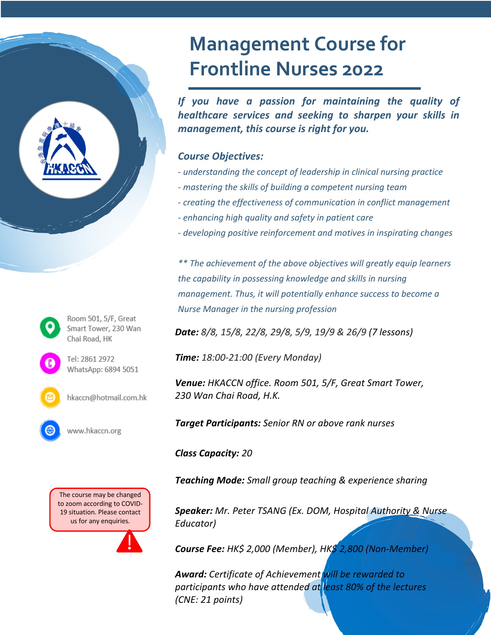# **Management Course for Frontline Nurses 2022**

*If you have a passion for maintaining the quality of healthcare services and seeking to sharpen your skills in management, this course is right for you.*

#### *Course Objectives:*

- *- understanding the concept of leadership in clinical nursing practice*
- *- mastering the skills of building a competent nursing team*
- *- creating the effectiveness of communication in conflict management*
- *- enhancing high quality and safety in patient care*
- *- developing positive reinforcement and motives in inspirating changes*

*\*\* The achievement of the above objectives will greatly equip learners the capability in possessing knowledge and skills in nursing management. Thus, it will potentially enhance success to become a Nurse Manager in the nursing profession*

*Date: 8/8, 15/8, 22/8, 29/8, 5/9, 19/9 & 26/9 (7 lessons)*

*Time: 18:00-21:00 (Every Monday)*

*Venue: HKACCN office. Room 501, 5/F, Great Smart Tower, 230 Wan Chai Road, H.K.*

*Target Participants: Senior RN or above rank nurses*

*Class Capacity: 20*

*Teaching Mode: Small group teaching & experience sharing* 

*Speaker: Mr. Peter TSANG (Ex. DOM, Hospital Authority & Nurse Educator)*

*Course Fee: HK\$ 2,000 (Member), HK\$ 2,800 (Non-Member)*

*Award: Certificate of Achievement will be rewarded to participants who have attended at least 80% of the lectures (CNE: 21 points)*

Room 501, 5/F, Great Smart Tower, 230 Wan Chai Road, HK Tel: 2861 2972 WhatsApp: 6894 5051

hkaccn@hotmail.com.hk

www.hkaccn.org

The course may be changed to zoom according to COVID-19 situation. Please contact us for any enquiries.